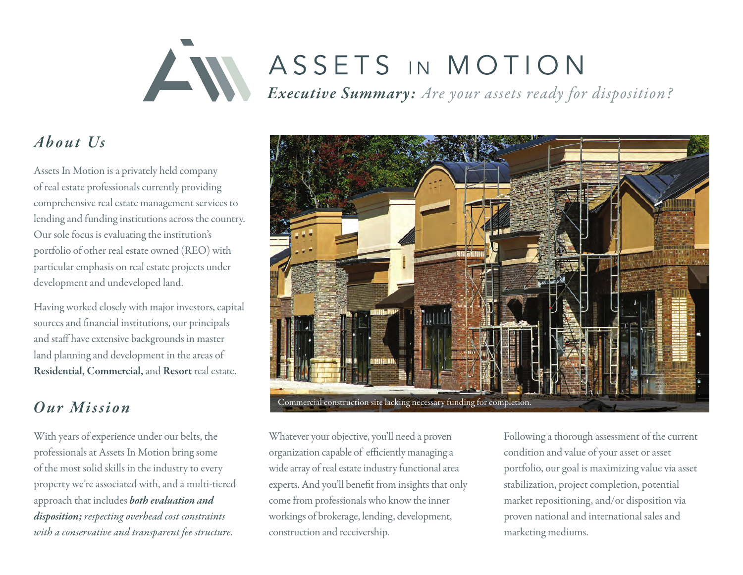# ASSETS IN MOTION *Executive Summary: Are your assets ready for disposition?*

# About Us

Assets In Motion is a privately held company of real estate professionals currently providing comprehensive real estate management services to lending and funding institutions across the country. Our sole focus is evaluating the institution's portfolio of other real estate owned (REO) with particular emphasis on real estate projects under development and undeveloped land.

Having worked closely with major investors, capital sources and financial institutions, our principals and staff have extensive backgrounds in master land planning and development in the areas of Residential, Commercial, and Resort real estate.

# *O ur Mi ssi on*

With years of experience under our belts, the professionals at Assets In Motion bring some of the most solid skills in the industry to every property we're associated with, and a multi-tiered approach that includes *both evaluation and disposition; respecting overhead cost constraints with a conservative and transparent fee structure.*



Whatever your objective, you'll need a proven organization capable of efficiently managing a wide array of real estate industry functional area experts. And you'll benefit from insights that only come from professionals who know the inner workings of brokerage, lending, development, construction and receivership.

Following a thorough assessment of the current condition and value of your asset or asset portfolio, our goal is maximizing value via asset stabilization, project completion, potential market repositioning, and/or disposition via proven national and international sales and marketing mediums.